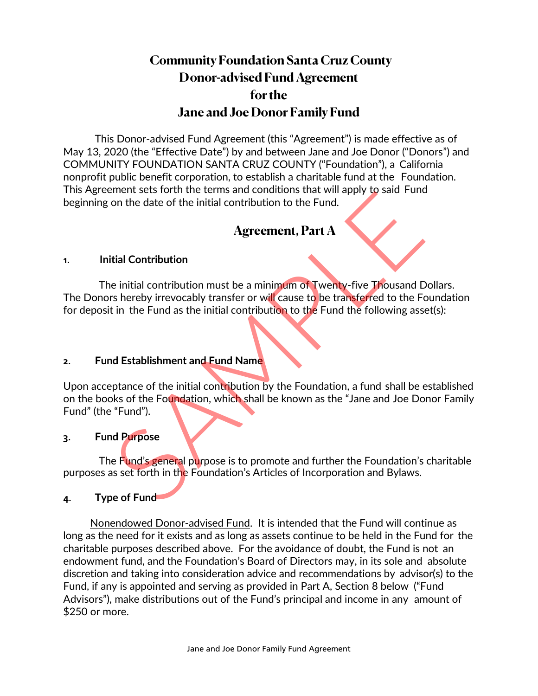# **Community Foundation Santa Cruz County Donor-advised Fund Agreement for the Jane and Joe Donor Family Fund**

This Donor-advised Fund Agreement (this "Agreement") is made effective as of May 13, 2020 (the "Effective Date") by and between Jane and Joe Donor ("Donors") and COMMUNITY FOUNDATION SANTA CRUZ COUNTY ("Foundation"), a California nonprofit public benefit corporation, to establish a charitable fund at the Foundation. This Agreement sets forth the terms and conditions that will apply to said Fund beginning on the date of the initial contribution to the Fund.

## **Agreement, Part A**

### **1. Initial Contribution**

The initial contribution must be a minimum of Twenty-five Thousand Dollars. The Donors hereby irrevocably transfer or will cause to be transferred to the Foundation for deposit in the Fund as the initial contribution to the Fund the following asset(s): The distribution<br>
Agreement, Part A<br>
Agreement, Part A<br>
dial Contribution<br>
e initial contribution<br>
e initial contribution<br>
e initial contribution<br>
e initial contribution<br>
e initial contribution<br>
e in the Fund as the initia

### **2. Fund Establishment and Fund Name**

Upon acceptance of the initial contribution by the Foundation, a fund shall be established on the books of the Foundation, which shall be known as the "Jane and Joe Donor Family Fund" (the "Fund").

### **3. Fund Purpose**

The Fund's general purpose is to promote and further the Foundation's charitable purposes as set forth in the Foundation's Articles of Incorporation and Bylaws.

### **4. Type of Fund**

Nonendowed Donor-advised Fund. It is intended that the Fund will continue as long as the need for it exists and as long as assets continue to be held in the Fund for the charitable purposes described above. For the avoidance of doubt, the Fund is not an endowment fund, and the Foundation's Board of Directors may, in its sole and absolute discretion and taking into consideration advice and recommendations by advisor(s) to the Fund, if any is appointed and serving as provided in Part A, Section 8 below ("Fund Advisors"), make distributions out of the Fund's principal and income in any amount of \$250 or more.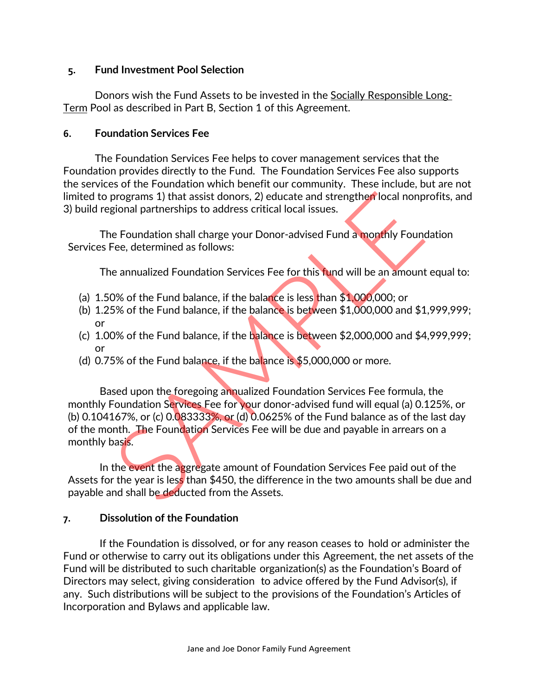### **5. Fund Investment Pool Selection**

Donors wish the Fund Assets to be invested in the Socially Responsible Long-Term Pool as described in Part B, Section 1 of this Agreement.

### **6. Foundation Services Fee**

The Foundation Services Fee helps to cover management services that the Foundation provides directly to the Fund. The Foundation Services Fee also supports the services of the Foundation which benefit our community. These include, but are not limited to programs 1) that assist donors, 2) educate and strengthen local nonprofits, and 3) build regional partnerships to address critical local issues.

The Foundation shall charge your Donor-advised Fund a monthly Foundation Services Fee, determined as follows:

The annualized Foundation Services Fee for this fund will be an amount equal to:

- (a) 1.50% of the Fund balance, if the balance is less than \$1,000,000; or
- (b) 1.25% of the Fund balance, if the balance is between \$1,000,000 and \$1,999,999; or
- (c) 1.00% of the Fund balance, if the balance is between \$2,000,000 and \$4,999,999; or
- (d)  $0.75\%$  of the Fund balance, if the balance is \$5,000,000 or more.

Based upon the foregoing annualized Foundation Services Fee formula, the monthly Foundation Services Fee for your donor-advised fund will equal (a) 0.125%, or (b) 0.104167%, or (c) 0.083333%, or (d) 0.0625% of the Fund balance as of the last day of the month. The Foundation Services Fee will be due and payable in arrears on a monthly basis. programs 1) that assist donors, 2) educate and strengther local nonp<br>gional partnerships to address critical local issues.<br>E Foundation shall charge your Donor-advised Fund a monthly Founce.<br>Fee, determined as follows:<br>a a

In the event the aggregate amount of Foundation Services Fee paid out of the Assets for the year is less than \$450, the difference in the two amounts shall be due and payable and shall be deducted from the Assets.

### **7. Dissolution of the Foundation**

 If the Foundation is dissolved, or for any reason ceases to hold or administer the Fund or otherwise to carry out its obligations under this Agreement, the net assets of the Fund will be distributed to such charitable organization(s) as the Foundation's Board of Directors may select, giving consideration to advice offered by the Fund Advisor(s), if any. Such distributions will be subject to the provisions of the Foundation's Articles of Incorporation and Bylaws and applicable law.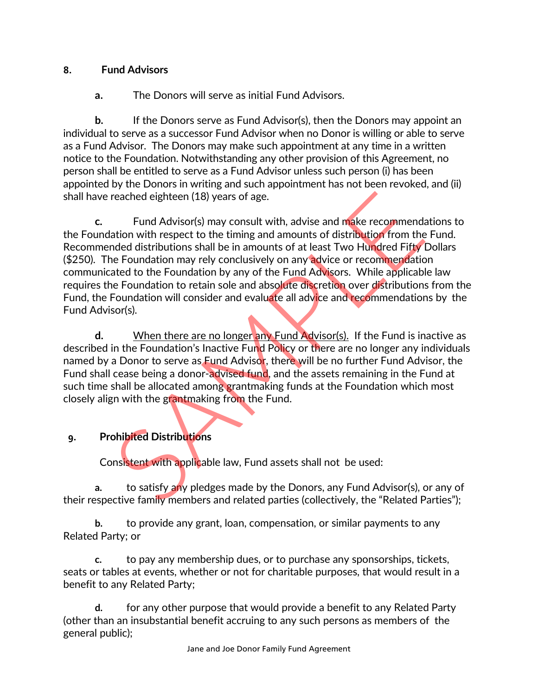### **8. Fund Advisors**

**a.** The Donors will serve as initial Fund Advisors.

**b.** If the Donors serve as Fund Advisor(s), then the Donors may appoint an individual to serve as a successor Fund Advisor when no Donor is willing or able to serve as a Fund Advisor. The Donors may make such appointment at any time in a written notice to the Foundation. Notwithstanding any other provision of this Agreement, no person shall be entitled to serve as a Fund Advisor unless such person (i) has been appointed by the Donors in writing and such appointment has not been revoked, and (ii) shall have reached eighteen (18) years of age.

**c.** Fund Advisor(s) may consult with, advise and make recommendations to the Foundation with respect to the timing and amounts of distribution from the Fund. Recommended distributions shall be in amounts of at least Two Hundred Fifty Dollars (\$250). The Foundation may rely conclusively on any advice or recommendation communicated to the Foundation by any of the Fund Advisors. While applicable law requires the Foundation to retain sole and absolute discretion over distributions from the Fund, the Foundation will consider and evaluate all advice and recommendations by the Fund Advisor(s). reached eighteen (18) years of age.<br>
Fund Advisor(s) may consult with, advise and make recommend<br>
ation with respect to the timing and amounts of distribution from the<br>
ation with respect to the timing and amounts of distr

**d.** When there are no longer any Fund Advisor(s). If the Fund is inactive as described in the Foundation's Inactive Fund Policy or there are no longer any individuals named by a Donor to serve as Fund Advisor, there will be no further Fund Advisor, the Fund shall cease being a donor-advised fund, and the assets remaining in the Fund at such time shall be allocated among grantmaking funds at the Foundation which most closely align with the grantmaking from the Fund.

## **9. Prohibited Distributions**

Consistent with applicable law, Fund assets shall not be used:

**a.** to satisfy any pledges made by the Donors, any Fund Advisor(s), or any of their respective family members and related parties (collectively, the "Related Parties");

**b.** to provide any grant, loan, compensation, or similar payments to any Related Party; or

**c.** to pay any membership dues, or to purchase any sponsorships, tickets, seats or tables at events, whether or not for charitable purposes, that would result in a benefit to any Related Party;

**d.** for any other purpose that would provide a benefit to any Related Party (other than an insubstantial benefit accruing to any such persons as members of the general public);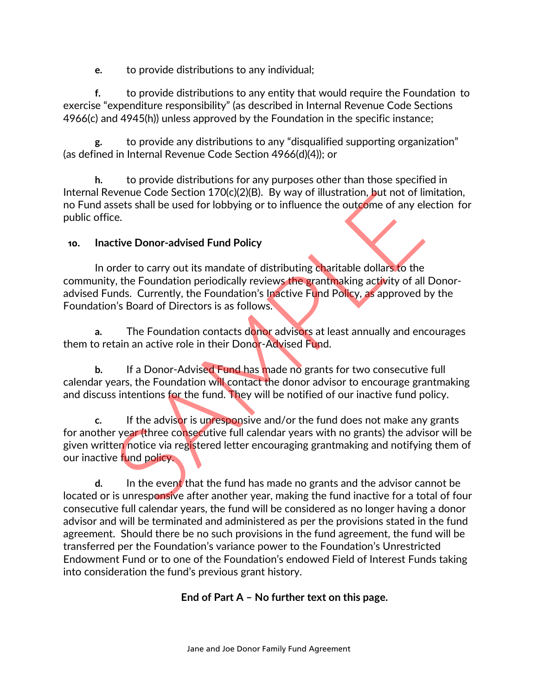**e.** to provide distributions to any individual;

**f.** to provide distributions to any entity that would require the Foundation to exercise "expenditure responsibility" (as described in Internal Revenue Code Sections 4966(c) and 4945(h)) unless approved by the Foundation in the specific instance;

**g.** to provide any distributions to any "disqualified supporting organization" (as defined in Internal Revenue Code Section 4966(d)(4)); or

**h.** to provide distributions for any purposes other than those specified in Internal Revenue Code Section 170(c)(2)(B). By way of illustration, but not of limitation, no Fund assets shall be used for lobbying or to influence the outcome of any election for public office.

### **10. Inactive Donor-advised Fund Policy**

In order to carry out its mandate of distributing charitable dollars to the community, the Foundation periodically reviews the grantmaking activity of all Donoradvised Funds. Currently, the Foundation's Inactive Fund Policy, as approved by the Foundation's Board of Directors is as follows. Expectitive Donor-advised Fund has made no grants and the advisor can<br>siste shall be used for lobbying or to influence the outcome of any election<br>tive Donor-advised Fund Policy<br>trace.<br>The Foundation periodically reviews t

**a.** The Foundation contacts donor advisors at least annually and encourages them to retain an active role in their Donor-Advised Fund.

**b.** If a Donor-Advised Fund has made no grants for two consecutive full calendar years, the Foundation will contact the donor advisor to encourage grantmaking and discuss intentions for the fund. They will be notified of our inactive fund policy.

**c.** If the advisor is unresponsive and/or the fund does not make any grants for another year (three consecutive full calendar years with no grants) the advisor will be given written notice via registered letter encouraging grantmaking and notifying them of our inactive fund policy.

**d.** In the event that the fund has made no grants and the advisor cannot be located or is unresponsive after another year, making the fund inactive for a total of four consecutive full calendar years, the fund will be considered as no longer having a donor advisor and will be terminated and administered as per the provisions stated in the fund agreement. Should there be no such provisions in the fund agreement, the fund will be transferred per the Foundation's variance power to the Foundation's Unrestricted Endowment Fund or to one of the Foundation's endowed Field of Interest Funds taking into consideration the fund's previous grant history.

### **End of Part A – No further text on this page.**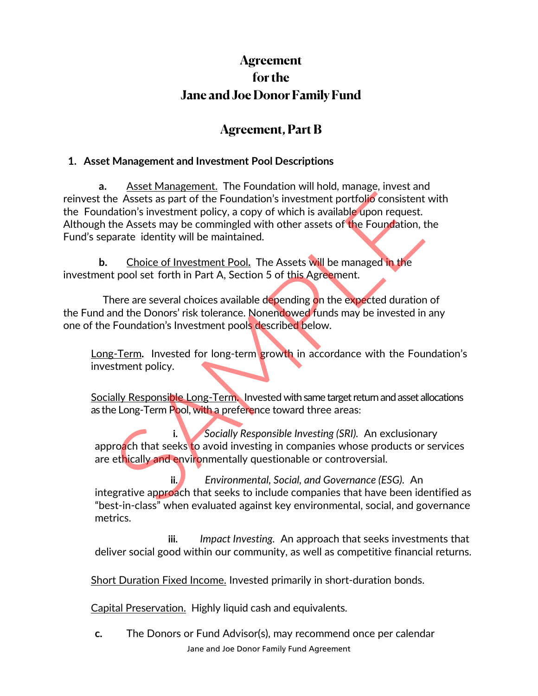# **Agreement for the Jane and Joe Donor Family Fund**

## **Agreement, Part B**

### **1. Asset Management and Investment Pool Descriptions**

**a.** Asset Management. The Foundation will hold, manage, invest and reinvest the Assets as part of the Foundation's investment portfolio consistent with the Foundation's investment policy, a copy of which is available upon request. Although the Assets may be commingled with other assets of the Foundation, the Fund's separate identity will be maintained. The Assets as part of the Foundation's investment portfolio consistent<br>
Atation's investment policy, a copy of which is available upon request.<br>
the Assets may be commingled with other assets of the Foundation, than<br>
arate

**b.** Choice of Investment Pool**.** The Assets will be managed in the investment pool set forth in Part A, Section 5 of this Agreement.

There are several choices available depending on the expected duration of the Fund and the Donors' risk tolerance. Nonendowed funds may be invested in any one of the Foundation's Investment pools described below.

Long-Term**.** Invested for long-term growth in accordance with the Foundation's investment policy.

Socially Responsible Long-Term**.** Invested with same target return and asset allocations as the Long-Term Pool, with a preference toward three areas:

**i.** *Socially Responsible Investing (SRI).* An exclusionary approach that seeks to avoid investing in companies whose products or services are ethically and environmentally questionable or controversial.

**ii.** *Environmental, Social, and Governance (ESG).* An integrative approach that seeks to include companies that have been identified as "best-in-class" when evaluated against key environmental, social, and governance metrics.

**iii.** *Impact Investing.* An approach that seeks investments that deliver social good within our community, as well as competitive financial returns.

Short Duration Fixed Income. Invested primarily in short-duration bonds.

Capital Preservation.Highly liquid cash and equivalents.

Jane and Joe Donor Family Fund Agreement **c.** The Donors or Fund Advisor(s), may recommend once per calendar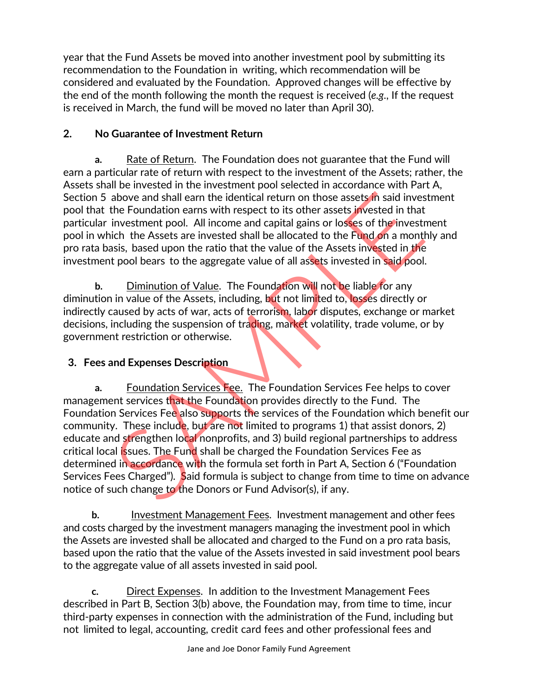year that the Fund Assets be moved into another investment pool by submitting its recommendation to the Foundation in writing, which recommendation will be considered and evaluated by the Foundation. Approved changes will be effective by the end of the month following the month the request is received (*e.g*., If the request is received in March, the fund will be moved no later than April 30).

### **2. No Guarantee of Investment Return**

**a.** Rate of Return. The Foundation does not guarantee that the Fund will earn a particular rate of return with respect to the investment of the Assets; rather, the Assets shall be invested in the investment pool selected in accordance with Part A, Section 5 above and shall earn the identical return on those assets in said investment pool that the Foundation earns with respect to its other assets invested in that particular investment pool. All income and capital gains or losses of the investment pool in which the Assets are invested shall be allocated to the Fund on a monthly and pro rata basis, based upon the ratio that the value of the Assets invested in the investment pool bears to the aggregate value of all assets invested in said pool.

**b.** Diminution of Value. The Foundation will not be liable for any diminution in value of the Assets, including, but not limited to, losses directly or indirectly caused by acts of war, acts of terrorism, labor disputes, exchange or market decisions, including the suspension of trading, market volatility, trade volume, or by government restriction or otherwise.

## **3. Fees and Expenses Description**

**a.** Foundation Services Fee. The Foundation Services Fee helps to cover management services that the Foundation provides directly to the Fund. The Foundation Services Fee also supports the services of the Foundation which benefit our community. These include, but are not limited to programs 1) that assist donors, 2) educate and strengthen local nonprofits, and 3) build regional partnerships to address critical local issues. The Fund shall be charged the Foundation Services Fee as determined in accordance with the formula set forth in Part A, Section 6 ("Foundation Services Fees Charged"). Said formula is subject to change from time to time on advance notice of such change to the Donors or Fund Advisor(s), if any. above and shall earn the identical return on those assets in said investing the Foundation earns with respect to its other assets invested in that investment pool. All income and capital gains or losses of the investment i

**b.** Investment Management Fees. Investment management and other fees and costs charged by the investment managers managing the investment pool in which the Assets are invested shall be allocated and charged to the Fund on a pro rata basis, based upon the ratio that the value of the Assets invested in said investment pool bears to the aggregate value of all assets invested in said pool.

**c.** Direct Expenses. In addition to the Investment Management Fees described in Part B, Section 3(b) above, the Foundation may, from time to time, incur third-party expenses in connection with the administration of the Fund, including but not limited to legal, accounting, credit card fees and other professional fees and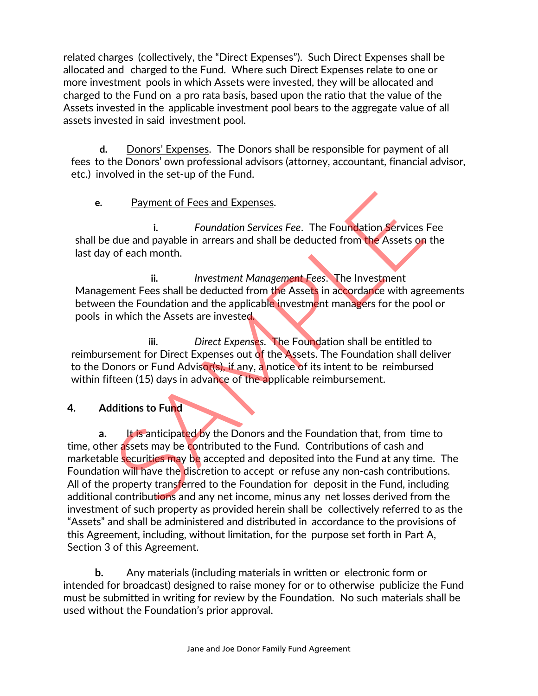related charges (collectively, the "Direct Expenses"). Such Direct Expenses shall be allocated and charged to the Fund. Where such Direct Expenses relate to one or more investment pools in which Assets were invested, they will be allocated and charged to the Fund on a pro rata basis, based upon the ratio that the value of the Assets invested in the applicable investment pool bears to the aggregate value of all assets invested in said investment pool.

**d.** Donors' Expenses. The Donors shall be responsible for payment of all fees to the Donors' own professional advisors (attorney, accountant, financial advisor, etc.) involved in the set-up of the Fund.

**e.** Payment of Fees and Expenses.

**i.** *Foundation Services Fee*. The Foundation Services Fee shall be due and payable in arrears and shall be deducted from the Assets on the last day of each month.

**ii.** *Investment Management Fees*. The Investment Management Fees shall be deducted from the Assets in accordance with agreements between the Foundation and the applicable investment managers for the pool or pools in which the Assets are invested.

**iii.** *Direct Expenses*. The Foundation shall be entitled to reimbursement for Direct Expenses out of the Assets. The Foundation shall deliver to the Donors or Fund Advisor(s), if any, a notice of its intent to be reimbursed within fifteen (15) days in advance of the applicable reimbursement.

### **4. Additions to Fund**

**a.** It is anticipated by the Donors and the Foundation that, from time to time, other assets may be contributed to the Fund. Contributions of cash and marketable securities may be accepted and deposited into the Fund at any time. The Foundation will have the discretion to accept or refuse any non-cash contributions. All of the property transferred to the Foundation for deposit in the Fund, including additional contributions and any net income, minus any net losses derived from the investment of such property as provided herein shall be collectively referred to as the "Assets" and shall be administered and distributed in accordance to the provisions of this Agreement, including, without limitation, for the purpose set forth in Part A, Section 3 of this Agreement. Payment of Fees and Expenses.<br>
i. Foundation Services Fee. The Foundation Services<br>
due and payable in arrears and shall be deducted from the Assets on<br>
of each month.<br>
ii. Investment Management Fees. The Investment<br>
ment

**b.** Any materials (including materials in written or electronic form or intended for broadcast) designed to raise money for or to otherwise publicize the Fund must be submitted in writing for review by the Foundation. No such materials shall be used without the Foundation's prior approval.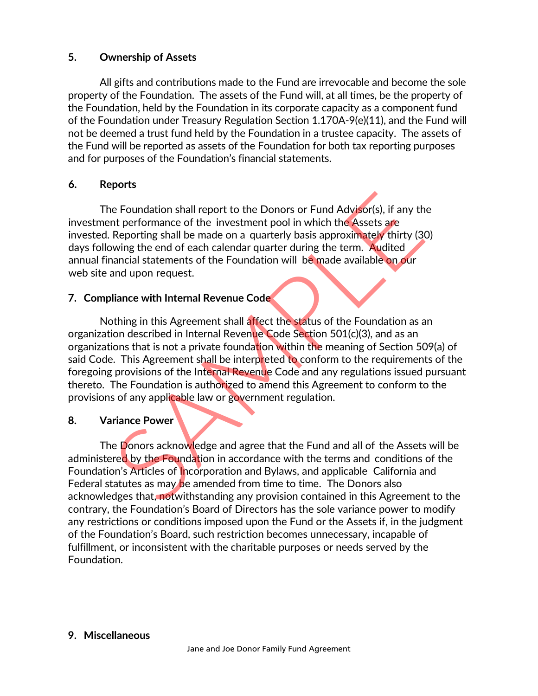### **5. Ownership of Assets**

All gifts and contributions made to the Fund are irrevocable and become the sole property of the Foundation. The assets of the Fund will, at all times, be the property of the Foundation, held by the Foundation in its corporate capacity as a component fund of the Foundation under Treasury Regulation Section 1.170A-9(e)(11), and the Fund will not be deemed a trust fund held by the Foundation in a trustee capacity. The assets of the Fund will be reported as assets of the Foundation for both tax reporting purposes and for purposes of the Foundation's financial statements.

### **6. Reports**

The Foundation shall report to the Donors or Fund Advisor(s), if any the investment performance of the investment pool in which the Assets are invested. Reporting shall be made on a quarterly basis approximately thirty (30) days following the end of each calendar quarter during the term. Audited annual financial statements of the Foundation will be made available on our web site and upon request.

### **7. Compliance with Internal Revenue Code**

Nothing in this Agreement shall affect the status of the Foundation as an organization described in Internal Revenue Code Section 501(c)(3), and as an organizations that is not a private foundation within the meaning of Section 509(a) of said Code. This Agreement shall be interpreted to conform to the requirements of the foregoing provisions of the Internal Revenue Code and any regulations issued pursuant thereto. The Foundation is authorized to amend this Agreement to conform to the provisions of any applicable law or government regulation. e Foundation shall report to the Donors or Fund Advisor(s), if any the proformance of the investment pool in which the Assets are Reporting shall be made on a quarterly basis approximately thirty (3) wing the end of each c

### **8. Variance Power**

The Donors acknowledge and agree that the Fund and all of the Assets will be administered by the Foundation in accordance with the terms and conditions of the Foundation's Articles of Incorporation and Bylaws, and applicable California and Federal statutes as may be amended from time to time. The Donors also acknowledges that, notwithstanding any provision contained in this Agreement to the contrary, the Foundation's Board of Directors has the sole variance power to modify any restrictions or conditions imposed upon the Fund or the Assets if, in the judgment of the Foundation's Board, such restriction becomes unnecessary, incapable of fulfillment, or inconsistent with the charitable purposes or needs served by the Foundation.

### **9. Miscellaneous**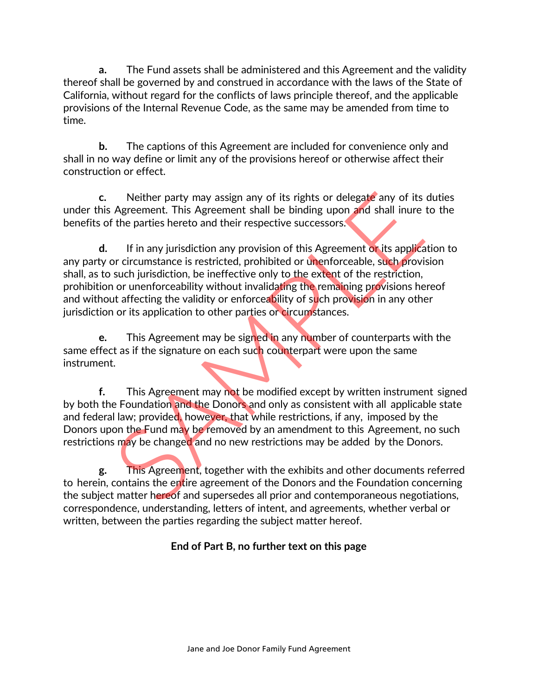**a.** The Fund assets shall be administered and this Agreement and the validity thereof shall be governed by and construed in accordance with the laws of the State of California, without regard for the conflicts of laws principle thereof, and the applicable provisions of the Internal Revenue Code, as the same may be amended from time to time.

**b.** The captions of this Agreement are included for convenience only and shall in no way define or limit any of the provisions hereof or otherwise affect their construction or effect.

**c.** Neither party may assign any of its rights or delegate any of its duties under this Agreement. This Agreement shall be binding upon and shall inure to the benefits of the parties hereto and their respective successors.

**d.** If in any jurisdiction any provision of this Agreement or its application to any party or circumstance is restricted, prohibited or unenforceable, such provision shall, as to such jurisdiction, be ineffective only to the extent of the restriction, prohibition or unenforceability without invalidating the remaining provisions hereof and without affecting the validity or enforceability of such provision in any other jurisdiction or its application to other parties or circumstances. Neither party may assign any of its rights or delegate any of its<br>Agreement. This Agreement shall be binding upon and shall inure<br>the parties hereto and their respective successors.<br>If in any jurisdiction any provision of

**e.** This Agreement may be signed in any number of counterparts with the same effect as if the signature on each such counterpart were upon the same instrument.

**f.** This Agreement may not be modified except by written instrument signed by both the Foundation and the Donors and only as consistent with all applicable state and federal law; provided, however, that while restrictions, if any, imposed by the Donors upon the Fund may be removed by an amendment to this Agreement, no such restrictions may be changed and no new restrictions may be added by the Donors.

**g.** This Agreement, together with the exhibits and other documents referred to herein, contains the entire agreement of the Donors and the Foundation concerning the subject matter hereof and supersedes all prior and contemporaneous negotiations, correspondence, understanding, letters of intent, and agreements, whether verbal or written, between the parties regarding the subject matter hereof.

## **End of Part B, no further text on this page**